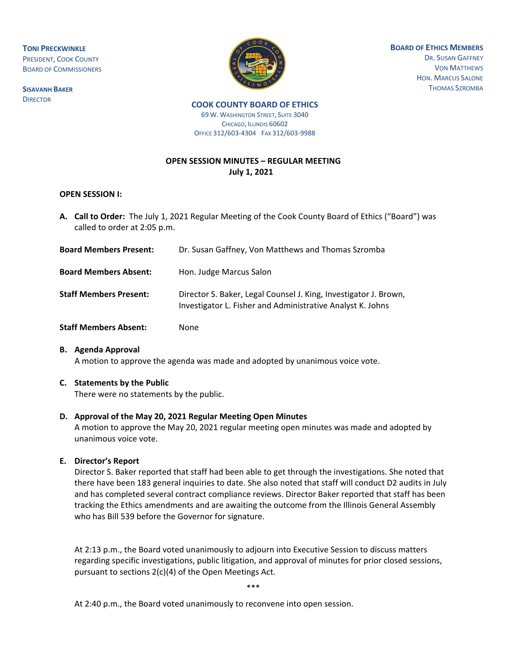**TONI PRECKWINKLE** PRESIDENT, COOK COUNTY BOARD OF COMMISSIONERS

**SISAVANH BAKER DIRECTOR** 



**BOARD OF ETHICS MEMBERS**

DR. SUSAN GAFFNEY VON MATTHEWS HON. MARCUS SALONE THOMAS SZROMBA

#### **COOK COUNTY BOARD OF ETHICS**  69 W. WASHINGTON STREET, SUITE 3040 CHICAGO, ILLINOIS 60602 OFFICE 312/603-4304 FAX 312/603-9988

# **OPEN SESSION MINUTES – REGULAR MEETING July 1, 2021**

#### **OPEN SESSION I:**

**A. Call to Order:** The July 1, 2021 Regular Meeting of the Cook County Board of Ethics ("Board") was called to order at 2:05 p.m.

| <b>Board Members Present:</b> | Dr. Susan Gaffney, Von Matthews and Thomas Szromba                                                                             |
|-------------------------------|--------------------------------------------------------------------------------------------------------------------------------|
| <b>Board Members Absent:</b>  | Hon. Judge Marcus Salon                                                                                                        |
| <b>Staff Members Present:</b> | Director S. Baker, Legal Counsel J. King, Investigator J. Brown,<br>Investigator L. Fisher and Administrative Analyst K. Johns |
| <b>Staff Members Absent:</b>  | None                                                                                                                           |

**B. Agenda Approval** A motion to approve the agenda was made and adopted by unanimous voice vote.

# **C. Statements by the Public**

There were no statements by the public.

# **D. Approval of the May 20, 2021 Regular Meeting Open Minutes**

A motion to approve the May 20, 2021 regular meeting open minutes was made and adopted by unanimous voice vote.

# **E. Director's Report**

 Director S. Baker reported that staff had been able to get through the investigations. She noted that there have been 183 general inquiries to date. She also noted that staff will conduct D2 audits in July and has completed several contract compliance reviews. Director Baker reported that staff has been tracking the Ethics amendments and are awaiting the outcome from the Illinois General Assembly who has Bill 539 before the Governor for signature.

At 2:13 p.m., the Board voted unanimously to adjourn into Executive Session to discuss matters regarding specific investigations, public litigation, and approval of minutes for prior closed sessions, pursuant to sections 2(c)(4) of the Open Meetings Act.

\*\*\*

At 2:40 p.m., the Board voted unanimously to reconvene into open session.